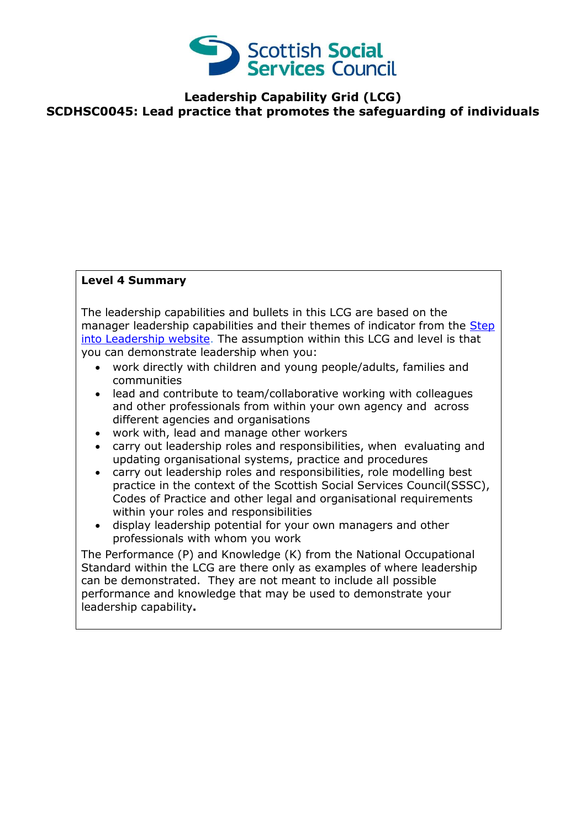

## **Leadership Capability Grid (LCG) SCDHSC0045: Lead practice that promotes the safeguarding of individuals**

## **Level 4 Summary**

The leadership capabilities and bullets in this LCG are based on the manager leadership capabilities and their themes of indicator from the Step [into Leadership website.](http://www.stepintoleadership.info/) The assumption within this LCG and level is that you can demonstrate leadership when you:

- work directly with children and young people/adults, families and communities
- lead and contribute to team/collaborative working with colleagues and other professionals from within your own agency and across different agencies and organisations
- work with, lead and manage other workers
- carry out leadership roles and responsibilities, when evaluating and updating organisational systems, practice and procedures
- carry out leadership roles and responsibilities, role modelling best practice in the context of the Scottish Social Services Council(SSSC), Codes of Practice and other legal and organisational requirements within your roles and responsibilities
- display leadership potential for your own managers and other professionals with whom you work

The Performance (P) and Knowledge (K) from the National Occupational Standard within the LCG are there only as examples of where leadership can be demonstrated. They are not meant to include all possible performance and knowledge that may be used to demonstrate your leadership capability**.**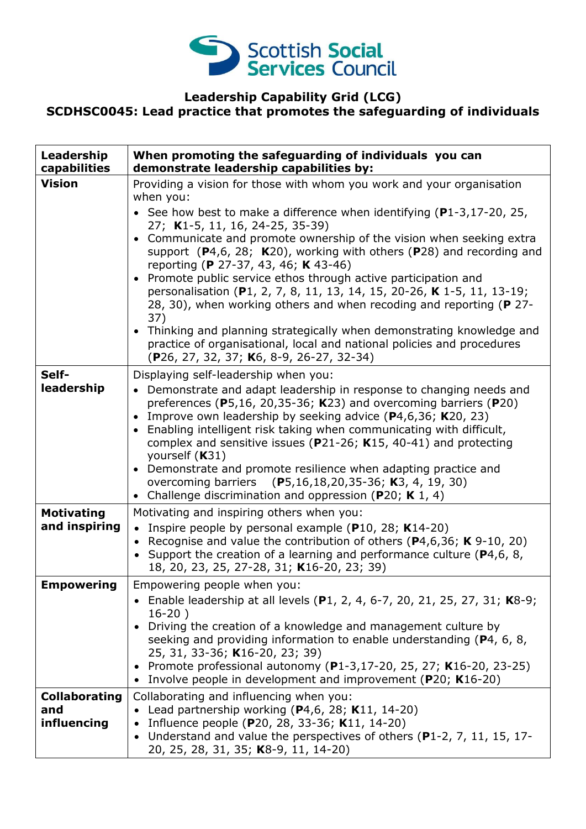

## **Leadership Capability Grid (LCG) SCDHSC0045: Lead practice that promotes the safeguarding of individuals**

| Leadership<br>capabilities                 | When promoting the safeguarding of individuals you can<br>demonstrate leadership capabilities by:                                                                                                                                                                                                                                                                                                                                                                                                                                                                                                                                                                                                                                                                                                                      |
|--------------------------------------------|------------------------------------------------------------------------------------------------------------------------------------------------------------------------------------------------------------------------------------------------------------------------------------------------------------------------------------------------------------------------------------------------------------------------------------------------------------------------------------------------------------------------------------------------------------------------------------------------------------------------------------------------------------------------------------------------------------------------------------------------------------------------------------------------------------------------|
| <b>Vision</b>                              | Providing a vision for those with whom you work and your organisation<br>when you:<br>• See how best to make a difference when identifying (P1-3,17-20, 25,<br>27; K1-5, 11, 16, 24-25, 35-39)<br>• Communicate and promote ownership of the vision when seeking extra<br>support $(P4,6, 28; K20)$ , working with others $(P28)$ and recording and<br>reporting (P 27-37, 43, 46; K 43-46)<br>• Promote public service ethos through active participation and<br>personalisation (P1, 2, 7, 8, 11, 13, 14, 15, 20-26, K 1-5, 11, 13-19;<br>28, 30), when working others and when recoding and reporting (P 27-<br>37)<br>• Thinking and planning strategically when demonstrating knowledge and<br>practice of organisational, local and national policies and procedures<br>(P26, 27, 32, 37; K6, 8-9, 26-27, 32-34) |
| Self-<br>leadership                        | Displaying self-leadership when you:<br>• Demonstrate and adapt leadership in response to changing needs and<br>preferences ( $P$ 5,16, 20,35-36; K23) and overcoming barriers ( $P$ 20)<br>Improve own leadership by seeking advice $(P4, 6, 36; K20, 23)$<br>$\bullet$<br>• Enabling intelligent risk taking when communicating with difficult,<br>complex and sensitive issues ( $P21-26$ ; K15, 40-41) and protecting<br>yourself (K31)<br>Demonstrate and promote resilience when adapting practice and<br>$\bullet$<br>overcoming barriers (P5,16,18,20,35-36; K3, 4, 19, 30)<br>• Challenge discrimination and oppression (P20; K 1, 4)                                                                                                                                                                         |
| <b>Motivating</b><br>and inspiring         | Motivating and inspiring others when you:<br>• Inspire people by personal example ( $P10$ , 28; K14-20)<br>• Recognise and value the contribution of others ( $P$ 4,6,36; K 9-10, 20)<br>• Support the creation of a learning and performance culture ( $P$ 4,6, 8,<br>18, 20, 23, 25, 27-28, 31; K16-20, 23; 39)                                                                                                                                                                                                                                                                                                                                                                                                                                                                                                      |
| <b>Empowering</b>                          | Empowering people when you:<br>• Enable leadership at all levels (P1, 2, 4, 6-7, 20, 21, 25, 27, 31; K8-9;<br>$16-20)$<br>Driving the creation of a knowledge and management culture by<br>seeking and providing information to enable understanding (P4, 6, 8,<br>25, 31, 33-36; K16-20, 23; 39)<br>• Promote professional autonomy (P1-3,17-20, 25, 27; K16-20, 23-25)<br>• Involve people in development and improvement (P20; K16-20)                                                                                                                                                                                                                                                                                                                                                                              |
| <b>Collaborating</b><br>and<br>influencing | Collaborating and influencing when you:<br>• Lead partnership working ( $P4,6$ , 28; K11, 14-20)<br>Influence people (P20, 28, 33-36; K11, 14-20)<br>Understand and value the perspectives of others (P1-2, 7, 11, 15, 17-<br>20, 25, 28, 31, 35; K8-9, 11, 14-20)                                                                                                                                                                                                                                                                                                                                                                                                                                                                                                                                                     |